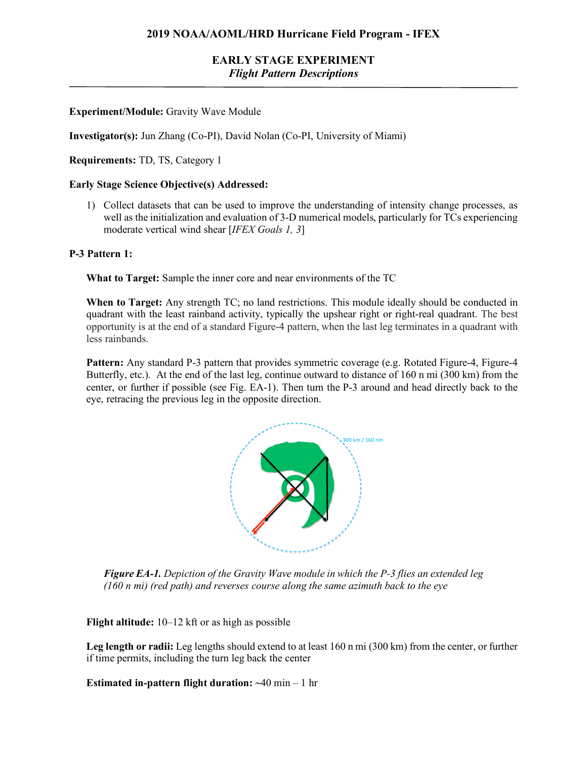### **EARLY STAGE EXPERIMENT** *Flight Pattern Descriptions*

### **Experiment/Module:** Gravity Wave Module

**Investigator(s):** Jun Zhang (Co-PI), David Nolan (Co-PI, University of Miami)

**Requirements:** TD, TS, Category 1

#### **Early Stage Science Objective(s) Addressed:**

1) Collect datasets that can be used to improve the understanding of intensity change processes, as well as the initialization and evaluation of 3-D numerical models, particularly for TCs experiencing moderate vertical wind shear [*IFEX Goals 1, 3*]

#### **P-3 Pattern 1:**

**What to Target:** Sample the inner core and near environments of the TC

**When to Target:** Any strength TC; no land restrictions. This module ideally should be conducted in quadrant with the least rainband activity, typically the upshear right or right-real quadrant. The best opportunity is at the end of a standard Figure-4 pattern, when the last leg terminates in a quadrant with less rainbands.

**Pattern:** Any standard P-3 pattern that provides symmetric coverage (e.g. Rotated Figure-4, Figure-4 Butterfly, etc.). At the end of the last leg, continue outward to distance of 160 n mi (300 km) from the center, or further if possible (see Fig. EA-1). Then turn the P-3 around and head directly back to the eye, retracing the previous leg in the opposite direction.



**Figure EA-1.** Depiction of the Gravity Wave module in which the P-3 flies an extended leg (160 n mi) (red path) and reverses course along the same azimuth back to the eye

**Flight altitude:** 10–12 kft or as high as possible

Leg length or radii: Leg lengths should extend to at least 160 n mi (300 km) from the center, or further if time permits, including the turn leg back the center

**Estimated in-pattern flight duration: ~**40 min – 1 hr